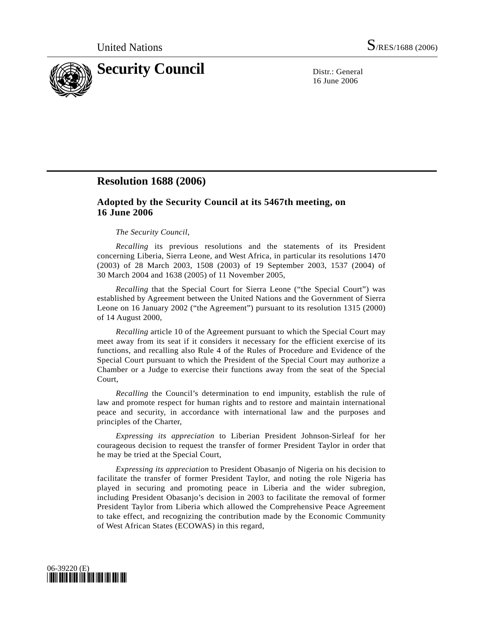

16 June 2006

## **Resolution 1688 (2006)**

## **Adopted by the Security Council at its 5467th meeting, on 16 June 2006**

## *The Security Council*,

*Recalling* its previous resolutions and the statements of its President concerning Liberia, Sierra Leone, and West Africa, in particular its resolutions 1470 (2003) of 28 March 2003, 1508 (2003) of 19 September 2003, 1537 (2004) of 30 March 2004 and 1638 (2005) of 11 November 2005,

*Recalling* that the Special Court for Sierra Leone ("the Special Court") was established by Agreement between the United Nations and the Government of Sierra Leone on 16 January 2002 ("the Agreement") pursuant to its resolution 1315 (2000) of 14 August 2000,

*Recalling* article 10 of the Agreement pursuant to which the Special Court may meet away from its seat if it considers it necessary for the efficient exercise of its functions, and recalling also Rule 4 of the Rules of Procedure and Evidence of the Special Court pursuant to which the President of the Special Court may authorize a Chamber or a Judge to exercise their functions away from the seat of the Special Court,

*Recalling* the Council's determination to end impunity, establish the rule of law and promote respect for human rights and to restore and maintain international peace and security, in accordance with international law and the purposes and principles of the Charter,

 *Expressing its appreciation* to Liberian President Johnson-Sirleaf for her courageous decision to request the transfer of former President Taylor in order that he may be tried at the Special Court,

*Expressing its appreciation* to President Obasanjo of Nigeria on his decision to facilitate the transfer of former President Taylor, and noting the role Nigeria has played in securing and promoting peace in Liberia and the wider subregion, including President Obasanjo's decision in 2003 to facilitate the removal of former President Taylor from Liberia which allowed the Comprehensive Peace Agreement to take effect, and recognizing the contribution made by the Economic Community of West African States (ECOWAS) in this regard,

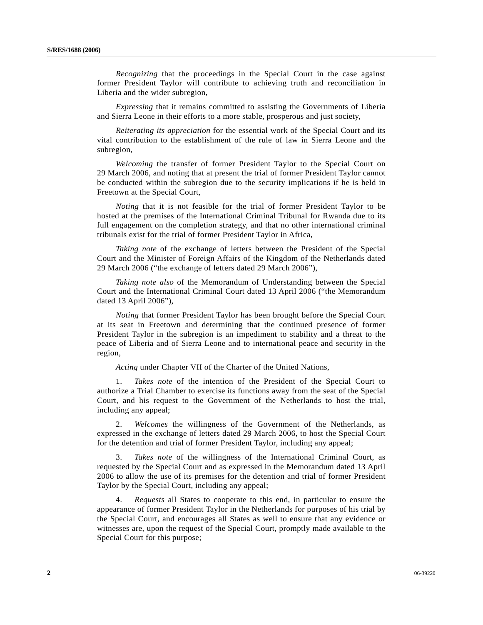*Recognizing* that the proceedings in the Special Court in the case against former President Taylor will contribute to achieving truth and reconciliation in Liberia and the wider subregion,

*Expressing* that it remains committed to assisting the Governments of Liberia and Sierra Leone in their efforts to a more stable, prosperous and just society,

*Reiterating its appreciation* for the essential work of the Special Court and its vital contribution to the establishment of the rule of law in Sierra Leone and the subregion,

*Welcoming* the transfer of former President Taylor to the Special Court on 29 March 2006, and noting that at present the trial of former President Taylor cannot be conducted within the subregion due to the security implications if he is held in Freetown at the Special Court,

*Noting* that it is not feasible for the trial of former President Taylor to be hosted at the premises of the International Criminal Tribunal for Rwanda due to its full engagement on the completion strategy, and that no other international criminal tribunals exist for the trial of former President Taylor in Africa,

*Taking note* of the exchange of letters between the President of the Special Court and the Minister of Foreign Affairs of the Kingdom of the Netherlands dated 29 March 2006 ("the exchange of letters dated 29 March 2006"),

*Taking note also* of the Memorandum of Understanding between the Special Court and the International Criminal Court dated 13 April 2006 ("the Memorandum dated 13 April 2006"),

*Noting* that former President Taylor has been brought before the Special Court at its seat in Freetown and determining that the continued presence of former President Taylor in the subregion is an impediment to stability and a threat to the peace of Liberia and of Sierra Leone and to international peace and security in the region,

*Acting* under Chapter VII of the Charter of the United Nations,

 1. *Takes note* of the intention of the President of the Special Court to authorize a Trial Chamber to exercise its functions away from the seat of the Special Court, and his request to the Government of the Netherlands to host the trial, including any appeal;

 2. *Welcomes* the willingness of the Government of the Netherlands, as expressed in the exchange of letters dated 29 March 2006, to host the Special Court for the detention and trial of former President Taylor, including any appeal;

 3. *Takes note* of the willingness of the International Criminal Court, as requested by the Special Court and as expressed in the Memorandum dated 13 April 2006 to allow the use of its premises for the detention and trial of former President Taylor by the Special Court, including any appeal;

 4. *Requests* all States to cooperate to this end, in particular to ensure the appearance of former President Taylor in the Netherlands for purposes of his trial by the Special Court, and encourages all States as well to ensure that any evidence or witnesses are, upon the request of the Special Court, promptly made available to the Special Court for this purpose;